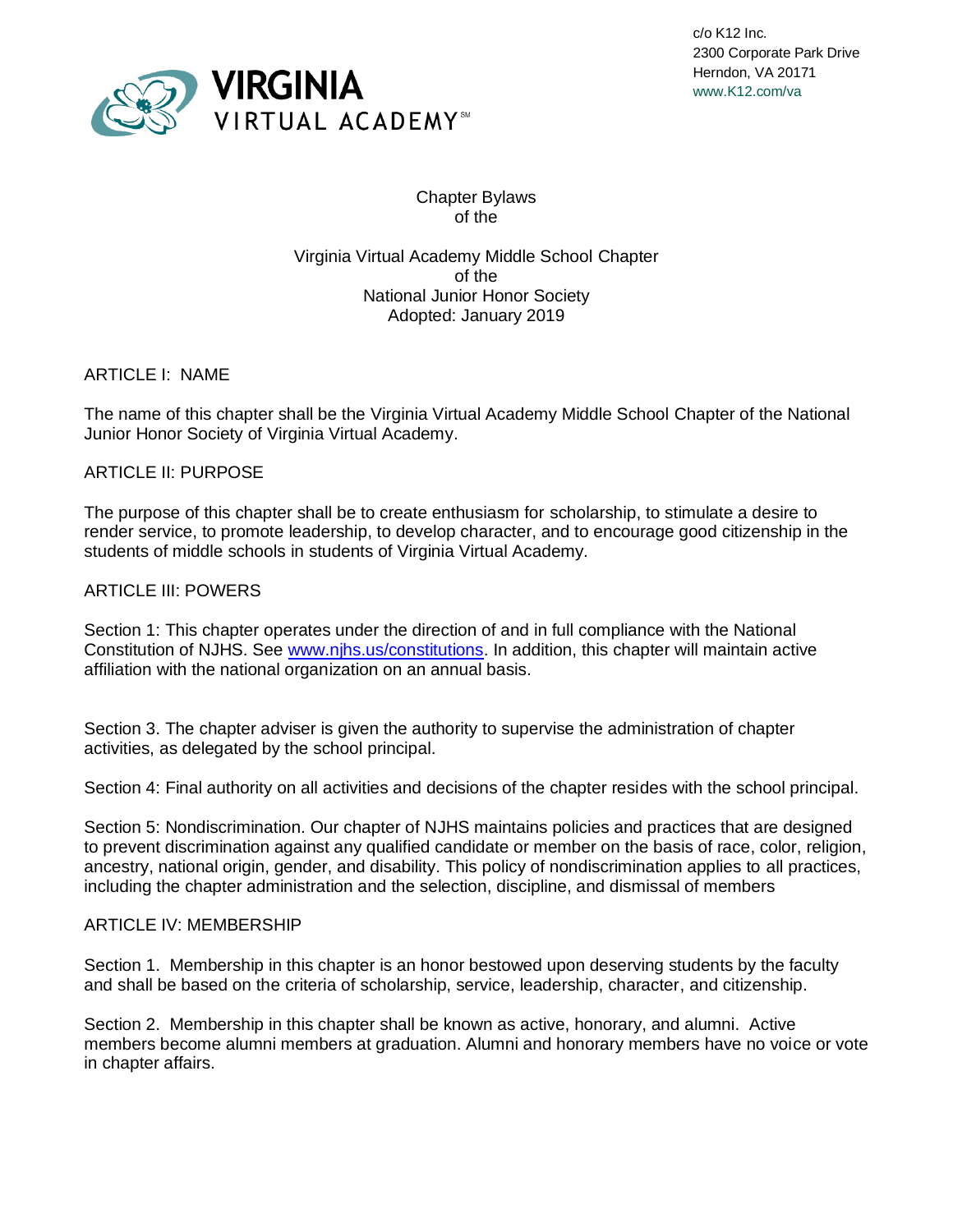

c/o K12 Inc. 2300 Corporate Park Drive Herndon, VA 20171 www.K12.com/va

# Chapter Bylaws of the

Virginia Virtual Academy Middle School Chapter of the National Junior Honor Society Adopted: January 2019

ARTICLE I: NAME

The name of this chapter shall be the Virginia Virtual Academy Middle School Chapter of the National Junior Honor Society of Virginia Virtual Academy.

### ARTICLE II: PURPOSE

The purpose of this chapter shall be to create enthusiasm for scholarship, to stimulate a desire to render service, to promote leadership, to develop character, and to encourage good citizenship in the students of middle schools in students of Virginia Virtual Academy.

# ARTICLE III: POWERS

Section 1: This chapter operates under the direction of and in full compliance with the National Constitution of NJHS. See [www.njhs.us/constitutions.](http://www.njhs.us/constitutions) In addition, this chapter will maintain active affiliation with the national organization on an annual basis.

Section 3. The chapter adviser is given the authority to supervise the administration of chapter activities, as delegated by the school principal.

Section 4: Final authority on all activities and decisions of the chapter resides with the school principal.

Section 5: Nondiscrimination. Our chapter of NJHS maintains policies and practices that are designed to prevent discrimination against any qualified candidate or member on the basis of race, color, religion, ancestry, national origin, gender, and disability. This policy of nondiscrimination applies to all practices, including the chapter administration and the selection, discipline, and dismissal of members

## ARTICLE IV: MEMBERSHIP

Section 1. Membership in this chapter is an honor bestowed upon deserving students by the faculty and shall be based on the criteria of scholarship, service, leadership, character, and citizenship.

Section 2. Membership in this chapter shall be known as active, honorary, and alumni. Active members become alumni members at graduation. Alumni and honorary members have no voice or vote in chapter affairs.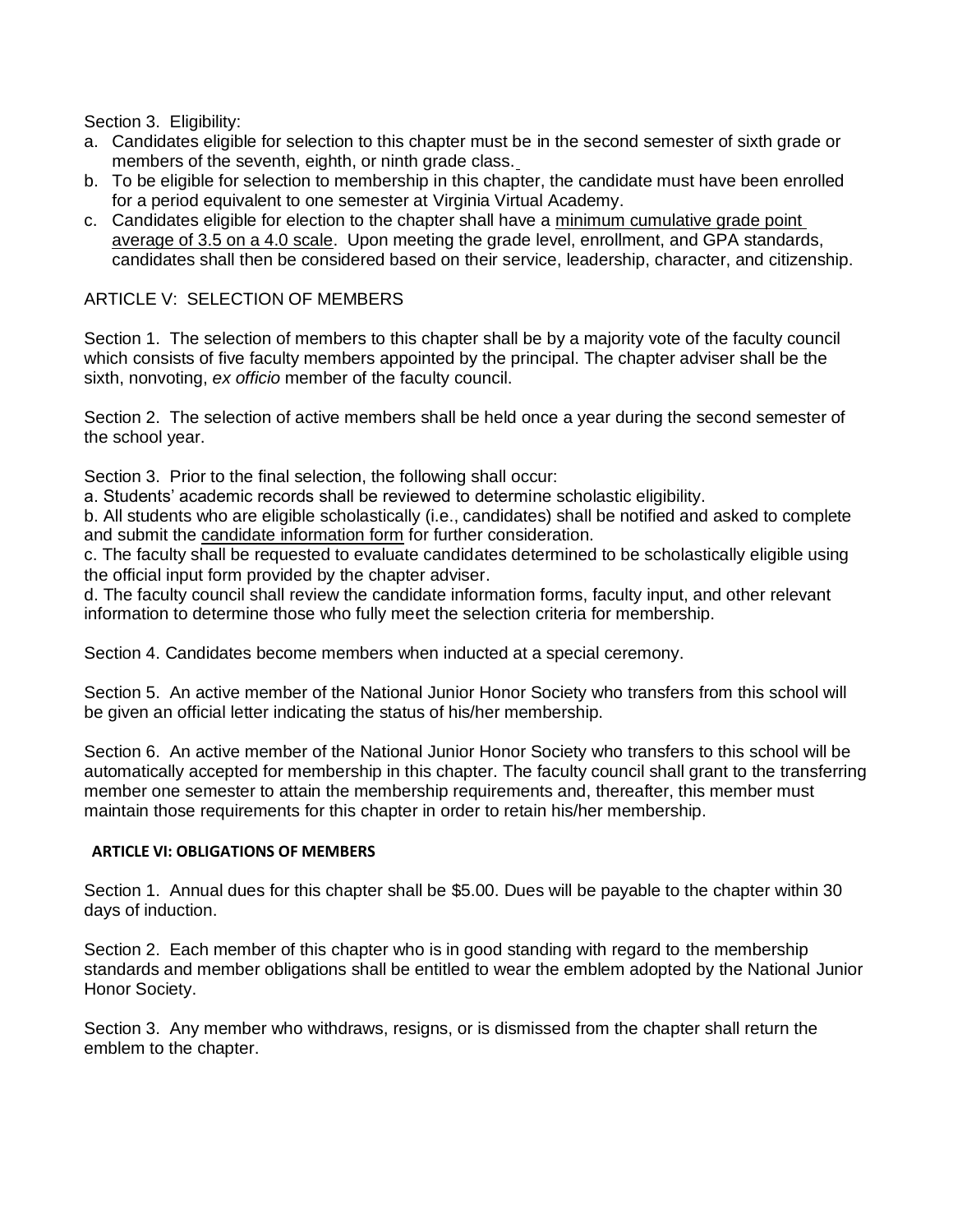Section 3. Eligibility:

- a. Candidates eligible for selection to this chapter must be in the second semester of sixth grade or members of the seventh, eighth, or ninth grade class.
- b. To be eligible for selection to membership in this chapter, the candidate must have been enrolled for a period equivalent to one semester at Virginia Virtual Academy.
- c. Candidates eligible for election to the chapter shall have a minimum cumulative grade point average of 3.5 on a 4.0 scale. Upon meeting the grade level, enrollment, and GPA standards, candidates shall then be considered based on their service, leadership, character, and citizenship.

## ARTICLE V: SELECTION OF MEMBERS

Section 1. The selection of members to this chapter shall be by a majority vote of the faculty council which consists of five faculty members appointed by the principal. The chapter adviser shall be the sixth, nonvoting, *ex officio* member of the faculty council.

Section 2. The selection of active members shall be held once a year during the second semester of the school year.

Section 3. Prior to the final selection, the following shall occur:

a. Students' academic records shall be reviewed to determine scholastic eligibility.

b. All students who are eligible scholastically (i.e., candidates) shall be notified and asked to complete and submit the candidate information form for further consideration.

c. The faculty shall be requested to evaluate candidates determined to be scholastically eligible using the official input form provided by the chapter adviser.

d. The faculty council shall review the candidate information forms, faculty input, and other relevant information to determine those who fully meet the selection criteria for membership.

Section 4. Candidates become members when inducted at a special ceremony.

Section 5. An active member of the National Junior Honor Society who transfers from this school will be given an official letter indicating the status of his/her membership.

Section 6. An active member of the National Junior Honor Society who transfers to this school will be automatically accepted for membership in this chapter. The faculty council shall grant to the transferring member one semester to attain the membership requirements and, thereafter, this member must maintain those requirements for this chapter in order to retain his/her membership.

#### **ARTICLE VI: OBLIGATIONS OF MEMBERS**

Section 1. Annual dues for this chapter shall be \$5.00. Dues will be payable to the chapter within 30 days of induction.

Section 2. Each member of this chapter who is in good standing with regard to the membership standards and member obligations shall be entitled to wear the emblem adopted by the National Junior Honor Society.

Section 3. Any member who withdraws, resigns, or is dismissed from the chapter shall return the emblem to the chapter.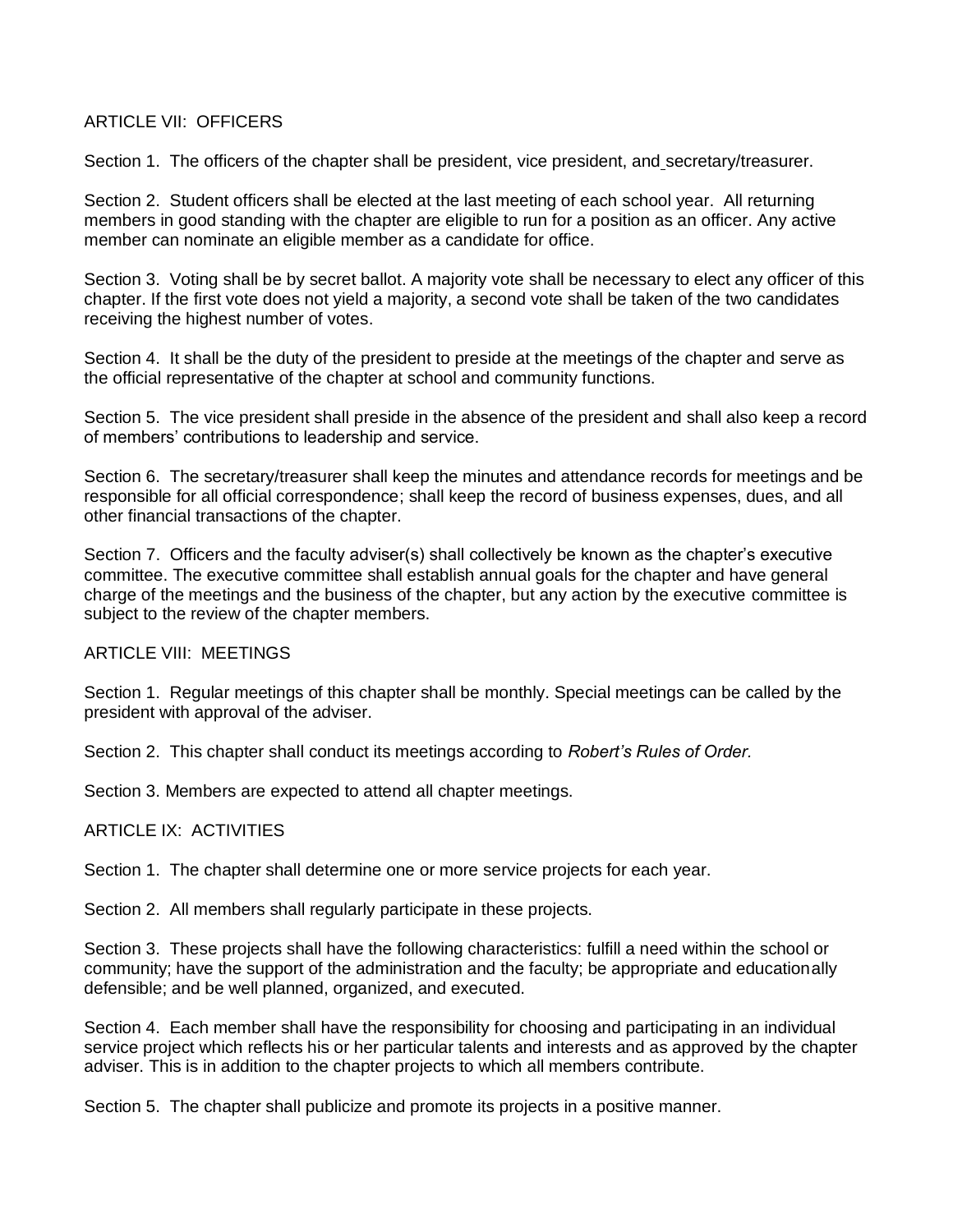### ARTICLE VII: OFFICERS

Section 1. The officers of the chapter shall be president, vice president, and secretary/treasurer.

Section 2. Student officers shall be elected at the last meeting of each school year. All returning members in good standing with the chapter are eligible to run for a position as an officer. Any active member can nominate an eligible member as a candidate for office.

Section 3. Voting shall be by secret ballot. A majority vote shall be necessary to elect any officer of this chapter. If the first vote does not yield a majority, a second vote shall be taken of the two candidates receiving the highest number of votes.

Section 4. It shall be the duty of the president to preside at the meetings of the chapter and serve as the official representative of the chapter at school and community functions.

Section 5. The vice president shall preside in the absence of the president and shall also keep a record of members' contributions to leadership and service.

Section 6. The secretary/treasurer shall keep the minutes and attendance records for meetings and be responsible for all official correspondence; shall keep the record of business expenses, dues, and all other financial transactions of the chapter.

Section 7. Officers and the faculty adviser(s) shall collectively be known as the chapter's executive committee. The executive committee shall establish annual goals for the chapter and have general charge of the meetings and the business of the chapter, but any action by the executive committee is subject to the review of the chapter members.

#### ARTICLE VIII: MEETINGS

Section 1. Regular meetings of this chapter shall be monthly. Special meetings can be called by the president with approval of the adviser.

Section 2. This chapter shall conduct its meetings according to *Robert's Rules of Order.*

Section 3. Members are expected to attend all chapter meetings.

ARTICLE IX: ACTIVITIES

Section 1. The chapter shall determine one or more service projects for each year.

Section 2. All members shall regularly participate in these projects.

Section 3. These projects shall have the following characteristics: fulfill a need within the school or community; have the support of the administration and the faculty; be appropriate and educationally defensible; and be well planned, organized, and executed.

Section 4. Each member shall have the responsibility for choosing and participating in an individual service project which reflects his or her particular talents and interests and as approved by the chapter adviser. This is in addition to the chapter projects to which all members contribute.

Section 5. The chapter shall publicize and promote its projects in a positive manner.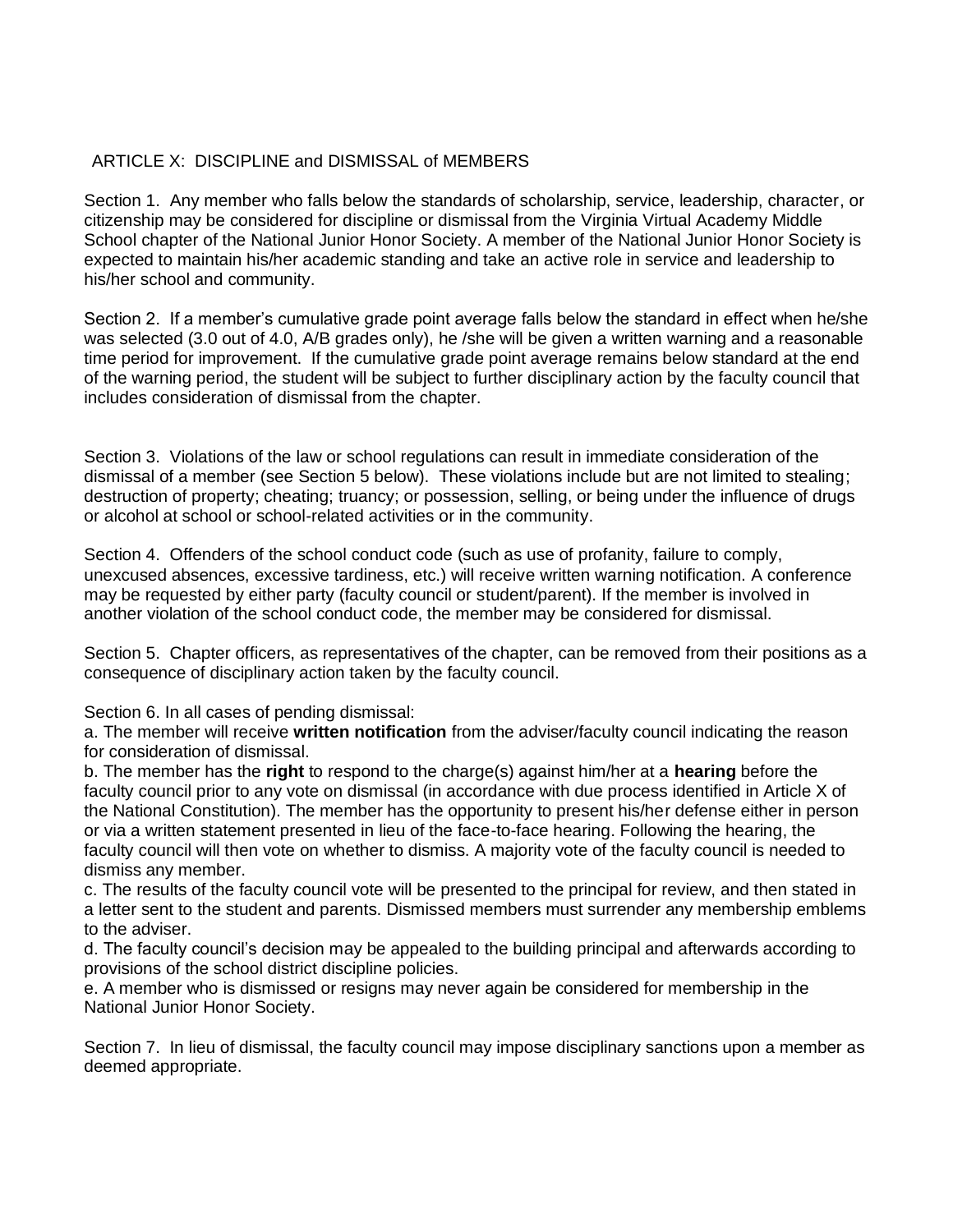# ARTICLE X: DISCIPLINE and DISMISSAL of MEMBERS

Section 1. Any member who falls below the standards of scholarship, service, leadership, character, or citizenship may be considered for discipline or dismissal from the Virginia Virtual Academy Middle School chapter of the National Junior Honor Society. A member of the National Junior Honor Society is expected to maintain his/her academic standing and take an active role in service and leadership to his/her school and community.

Section 2. If a member's cumulative grade point average falls below the standard in effect when he/she was selected (3.0 out of 4.0, A/B grades only), he /she will be given a written warning and a reasonable time period for improvement. If the cumulative grade point average remains below standard at the end of the warning period, the student will be subject to further disciplinary action by the faculty council that includes consideration of dismissal from the chapter.

Section 3. Violations of the law or school regulations can result in immediate consideration of the dismissal of a member (see Section 5 below). These violations include but are not limited to stealing; destruction of property; cheating; truancy; or possession, selling, or being under the influence of drugs or alcohol at school or school-related activities or in the community.

Section 4. Offenders of the school conduct code (such as use of profanity, failure to comply, unexcused absences, excessive tardiness, etc.) will receive written warning notification. A conference may be requested by either party (faculty council or student/parent). If the member is involved in another violation of the school conduct code, the member may be considered for dismissal.

Section 5. Chapter officers, as representatives of the chapter, can be removed from their positions as a consequence of disciplinary action taken by the faculty council.

Section 6. In all cases of pending dismissal:

a. The member will receive **written notification** from the adviser/faculty council indicating the reason for consideration of dismissal.

b. The member has the **right** to respond to the charge(s) against him/her at a **hearing** before the faculty council prior to any vote on dismissal (in accordance with due process identified in Article X of the National Constitution). The member has the opportunity to present his/her defense either in person or via a written statement presented in lieu of the face-to-face hearing. Following the hearing, the faculty council will then vote on whether to dismiss. A majority vote of the faculty council is needed to dismiss any member.

c. The results of the faculty council vote will be presented to the principal for review, and then stated in a letter sent to the student and parents. Dismissed members must surrender any membership emblems to the adviser.

d. The faculty council's decision may be appealed to the building principal and afterwards according to provisions of the school district discipline policies.

e. A member who is dismissed or resigns may never again be considered for membership in the National Junior Honor Society.

Section 7. In lieu of dismissal, the faculty council may impose disciplinary sanctions upon a member as deemed appropriate.